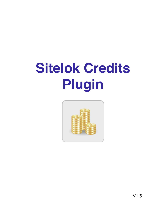# **Sitelok Credits Plugin**

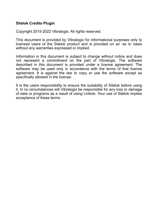#### **Sitelok Credits Plugin**

Copyright 2015-2022 Vibralogix. All rights reserved.

This document is provided by Vibralogix for informational purposes only to licensed users of the Sitelok product and is provided on an 'as is' basis without any warranties expressed or implied.

Information in this document is subject to change without notice and does not represent a commitment on the part of Vibralogix. The software described in this document is provided under a license agreement. The software may be used only in accordance with the terms of that license agreement. It is against the law to copy or use the software except as specifically allowed in the license.

It is the users responsibility to ensure the suitability of Sitelok before using it. In no circumstances will Vibralogix be responsible for any loss or damage of data or programs as a result of using Linklok. Your use of Sitelok implies acceptance of these terms.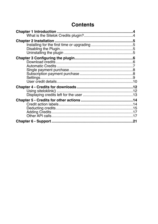# **Contents**

|  | .21 |  |  |
|--|-----|--|--|
|  |     |  |  |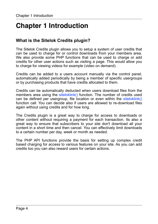# <span id="page-3-0"></span>**Chapter 1 Introduction**

# <span id="page-3-1"></span>**What is the Sitelok Credits plugin?**

The Sitelok Credits plugin allows you to setup a system of user credits that can be used to charge for or control downloads from your members area. We also provide some PHP functions that can be used to charge or add credits for other user actions such as visiting a page. This would allow you to charge for viewing videos for example (video on demand).

Credits can be added to a users account manually via the control panel, automatically added periodically by being a member of specific usergroups or by purchasing products that have credits allocated to them.

Credits can be automatically deducted when users download files from the members area using the siteloklink() function. The number of credits used can be defined per usergroup, file location or even within the siteloklink() function call. You can decide also if users are allowed to re-download files again without using credits and for how long.

The Credits plugin is a great way to charge for access to downloads or other content without requiring a payment for each transaction. Its also a great way to ensure that subscribers to your site don't download all your content in a short time and then cancel. You can effectively limit downloads to a certain number per day, week or month as needed.

The PHP API functions provide the basis for setting up complex credit based charging for access to various features on your site. As you can add credits too you can also reward users for certain actions.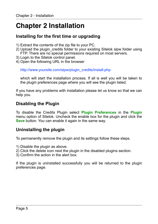# <span id="page-4-0"></span>**Chapter 2 Installation**

## <span id="page-4-1"></span>**Installing for the first time or upgrading**

- 1) Extract the contents of the zip file to your PC.
- 2) Upload the plugin\_credits folder to your existing Sitelok slpw folder using FTP. There are no special permissions required on most servers.
- 3) Login to the Sitelok control panel.
- 4) Open the following URL in the browser

http://www.yoursite.com/slpw/plugin\_credits/install.php

which will start the installation process. If all is well you will be taken to the plugin preferences page where you will see the plugin listed.

If you have any problems with installation please let us know so that we can help you.

# <span id="page-4-2"></span>**Disabling the Plugin**

To disable the Credits Plugin select **Plugin Preferences** in the **Plugin** menu option of Sitelok. Uncheck the enable box for the plugin and click the **Save** button. You can enable it again in the same way.

# <span id="page-4-3"></span>**Uninstalling the plugin**

To permanently remove the plugin and its settings follow these steps.

- 1) Disable the plugin as above.
- 2) Click the delete icon next the plugin in the disabled plugins section.
- 3) Confirm the action in the alert box.

If the plugin is uninstalled successfully you will be returned to the plugin preferences page.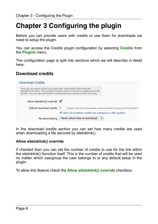# <span id="page-5-0"></span>**Chapter 3 Configuring the plugin**

Before you can provide users with credits or use them for downloads we need to setup the plugin.

You can access the Credits plugin configuration by selecting **Credits** from the **Plugins** menu.

The configuration page is split into sections which we will describe in detail here.

# <span id="page-5-1"></span>**Download credits**

|                                       | <b>Download Credits</b>                                                                                                                                                                                                                         |                                                           |  |
|---------------------------------------|-------------------------------------------------------------------------------------------------------------------------------------------------------------------------------------------------------------------------------------------------|-----------------------------------------------------------|--|
|                                       | Here you can setup credits to be used when downloading files using the<br>siteloklink() function. The number of credits used can be set by usergroup and file<br>location. You can also set whether re-downloading is allowed and for how long. |                                                           |  |
| Allow siteloklink() override <b>Ø</b> |                                                                                                                                                                                                                                                 |                                                           |  |
|                                       | Default download credits<br>Credits used for all downloads unless specified by group and file location                                                                                                                                          |                                                           |  |
|                                       |                                                                                                                                                                                                                                                 | add rule to define credits per usergroup or file location |  |
|                                       | Re-downloading                                                                                                                                                                                                                                  | Never allow free re-download<br>÷                         |  |

In the download credits section you can set how many credits are used when downloading a file secured by siteloklink().

#### **Allow siteloklink() override**

If checked then you can set the number of credits to use for the link within the siteloklink() fiunction itself. This is the number of credits that will be used no matter which usergroup the user belongs to or any default setup in the plugin.

To allow this feature check the **Allow siteloklink() override** checkbox.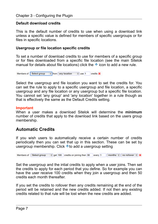#### **Default download credits**

This is the default number of credits to use when using a download link unless a specific value is defined for members of specific usergroups or for files in specific locations.

#### **Usergroup or file location specific credits**

To set a number of download credits to use for members of a specific group or for files downloaded from a specific file location (see the main Sitelok manual for details about file locations) click the  $\pm$  icon to add a new rule.

 $\frac{1}{x}$  from any location Members of Select group  $\frac{4}{7}$  use 1 credits **X** 

Select the usergroup and file location you want to set the credits for. You can set the rule to apply to a specific usergroup and file location, a specific usergroup and any file location or any usergroup but a specific file location. You cannot set 'any group' and 'any location' together in a rule though as that is effectively the same as the Default Credits setting.

#### **Important**

When a user makes a download Sitelok will determine the **minimum** number of credits that apply to the download link based on the users group membership.

### <span id="page-6-0"></span>**Automatic Credits**

If you wish users to automatically receive a certain number of credits periodically then you can set that up in this section. These can be set by usergroup membership. Click to add a usergroup setting

Members of Select group  $\frac{1}{x}$  get 100 credits on joining then 50 every 1 months  $\div$  no rollover  $\div$  X

Set the usergroup and the intial credits to apply when a user joins. Then set the credits to apply for each period that you define. So for example you can have the user receive 100 credits when they join a usergroup and then 50 credits each month thereafter.

If you set the credits to rollover then any credits remaining at the end of the period will be retained and the new credits added. If not then any existing credits related to that rule will be lost when the new credits are added.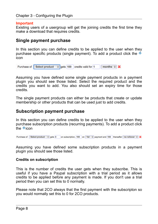#### **Important**

Existing users of a usergroup will get the joining credits the first time they make a download that requires credits.

### <span id="page-7-0"></span>**Single payment purchase**

In this section you can define credits to be applied to the user when they purchase specific products (single payment). To add a product click the  $\pm$ icon

```
Purchase of Select product \frac{1}{2} gets 100 credits valid for 1
                                                                               months \div \frac{1}{2}
```
Assuming you have defined some single payment products in a payment plugin you should see those listed. Select the required product and the credits you want to add. You also should set an expiry time for those credits.

The single payment products can either be products that create or update membership or other products that can be used just to add credits.

### <span id="page-7-1"></span>**Subscription payment purchase**

In this section you can define credits to be applied to the user when they purchase subscription products (recurring payments). To add a product click the  $\pm$ icon

Purchase of Select product  $\frac{4}{5}$  gets 0 on subscription, 100 on 1st  $\frac{4}{5}$  payment and 100 thereafter no rollover  $\frac{4}{5}$ 

Assuming you have defined some subscription products in a payment plugin you should see those listed.

#### **Credits on subscription**

This is the number of credits the user gets when they subscribe. This is useful if you have a Paypal subscription with a trial period as it allows credits to be applied before any payment is made. If you don't use a trial period then you can set this to 0 normally.

Please note that 2CO always that the first payment with the subscripton so you would normally set this to 0 for 2CO products.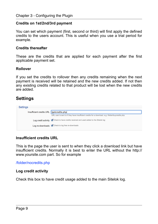#### **Credits on 1st/2nd/3rd payment**

You can set which payment (first, second or third) will first apply the defined credits to the users account. This is useful when you use a trial period for example.

#### **Credits thereafter**

These are the credits that are applied for each payment after the first applicable payment set.

#### **Rollover**

If you set the credits to rollover then any credits remaining when the next payment is received will be retained and the new credits added. If not then any existing credits related to that product will be lost when the new credits are added.

# <span id="page-8-0"></span>**Settings**

| Settings |                                                                                                   |  |
|----------|---------------------------------------------------------------------------------------------------|--|
|          | Insufficient credits URL /getcredits.php                                                          |  |
|          | URL user is sent to if they have insufficient credits for a download, e.g. /folder/buycredits.php |  |
|          | Log credit activity @ Check to have credits received and used added to the Sitelok log            |  |
|          | Log re-downloads<br>Oheck to log free re-downloads                                                |  |
|          |                                                                                                   |  |

#### **Insufficient credits URL**

This is the page the user is sent to when they click a download link but have insufficient credits. Normally it is best to enter the URL without the http:// www.yoursite.com part. So for example

/folder/nocredits.php

#### **Log credit activity**

Check this box to have credit usage added to the main Sitelok log.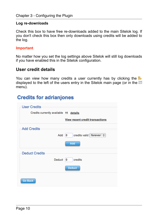#### **Log re-downloads**

Check this box to have free re-downloads added to the main Sitelok log. If you don't check this box then only downloads using credits will be added to the log.

#### **Important**

No matter how you set the log settings above Sitelok will still log downloads if you have enabled this in the Sitelok configuration.

### <span id="page-9-0"></span>**User credit details**

You can view how many credits a user currently has by clicking the displayed to the left of the users entry in the Sitelok main page (or in the menu).

# **Credits for adrianjones**

| <b>User Credits</b>                    |                                            |
|----------------------------------------|--------------------------------------------|
| Credits currently available 11 details |                                            |
|                                        | <b>View recent credit transactions</b>     |
| <b>Add Credits</b>                     |                                            |
|                                        | credits valid forever $\div$<br>$Add \n 0$ |
|                                        | Add                                        |
| <b>Deduct Credits</b>                  |                                            |
| Deduct $ 0 $                           | credits                                    |
|                                        | <b>Deduct</b>                              |
| <b>Go Back</b>                         |                                            |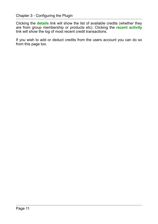Clicking the **details** link will show the list of available credits (whether they are from group membership or products etc). Clicking the **recent activity** link will show the log of most recent credit transactions.

If you wish to add or deduct credits from the users account you can do so from this page too.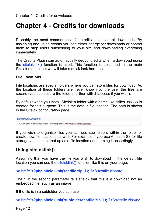# <span id="page-11-0"></span>**Chapter 4 - Credits for downloads**

Probably the most common use for credits is to control downloads. By assigning and using credits you can either charge for downloads or control them to stop users subscribing to your site and downloading everything immediately.

The Credits Plugin can automatically deduct credits when a download using the siteloklink() function is used. This function is described in the main Sitelok manual but we will take a quick look here too.

#### **File Locations**

Download Locations

File locations are special folders where you can store files for download. As the location of these folders are never known by the user the files are secure (you can secure the folders further with .htaccess if you wish).

By default when you install Sitelok a folder with a name like slfiles\_xxxxxx is created for this purpose. This is the default file location. The path is shown in the Sitelok configuration page

Full file path to download folder /folder/public\_html/slfiles\_4r768rgx23sg

If you wish to organise files you can use sub folders within the folder or create new file locations as well. For example if you use Amazon S3 for file storage you can set that up as a file location and naming it accordingly.

# <span id="page-11-1"></span>**Using siteloklink()**

Assuming that you have the file you wish to download in the default file location you can use the siteloklink() function like this on your page.

<a href="**<?php siteloklink('testfile.zip',1); ?>**">testfile.zip</a>

The 1 in the second parameter tells sitelok that this is a download not an embedded file (such as an image).

If the file is in a subfolder you can use

<a href="**<?php siteloklink('subfolder/testfile.zip',1); ?>**">testfile.zip</a>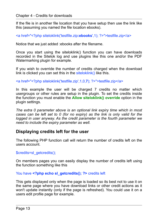If the file is in another file location that you have setup then use the link like this (assuming you named the file location ebooks).

<a href="<?php siteloklink('testfile.zip**:ebooks**',1); ?>">testfile.zip</a>

Notice that we just added :ebooks after the filename.

Once you start using the siteloklink() function you can have downloads recorded in the Sitelok log and use plugins like this one and/or the PDF Watermarking plugin for example.

If you wish to override the number of credits charged when the download link is clicked you can set this in the siteloklink() like this.

<a href="<?php siteloklink('testfile.zip',1,0,**7**); ?>">testfile.zip</a>

In this example the user will be charged 7 credits no matter which usergroups or other rules are setup in the plugin. To set the credits inside the function you must enable the **Allow siteloklink() override** option in the plugin settings.

*The extra 0 parameter above is an optional link expiry time which in most cases can be left set to 0 (for no expiry) as the link is only valid for the logged in user anyway. As the credit parameter is the fourth parameter we need to include the expiry parameter as well.* 

### <span id="page-12-0"></span>**Displaying credits left for the user**

The following PHP function call will return the number of credits left on the users account.

\$credits=sl\_getcredits();

On members pages you can easily display the number of credits left using the function something like this

You have **<?php echo sl\_getcredits(); ?>** credits left

This gets displayed only when the page is loaded so its best not to use it on the same page where you have download links or other credit actions as it won't update instantly (only if the page is refreshed). You could use it on a users edit profile page for example.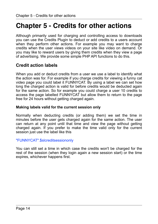# <span id="page-13-0"></span>**Chapter 5 - Credits for other actions**

Although primarily used for charging and controlling access to downloads you can use the Credits Plugin to deduct or add credits to a users account when they perform other actions. For example you may want to charge credits when the user views videos on your site like video on demand. Or you may like to reward users by giving them credits when they view a page of advertising. We provide some simple PHP API functions to do this.

# <span id="page-13-1"></span>**Credit action labels**

When you add or deduct credits from a user we use a label to identify what the action was for. For example if you charge credits for viewing a funny cat video page you could label it FUNNYCAT. By using a label we can set how long the charged action is valid for before credits would be deducted again for the same action. So for example you could charge a user 10 credits to access the page labelled FUNNYCAT but allow them to return to the page free for 24 hours without getting charged again.

#### **Making labels valid for the current session only**

Normally when deducting credits (or adding them) we set the time in minutes before the user gets charged again for the same action. The user can return at any point until that time and view the page without getting charged again. If you prefer to make the time valid only for the current session just use the label like this

#### "FUNNYCAT".\$slcreditsessiononly

You can still set a time in which case the credits won't be charged for the rest of the session (when they login again a new session start) or the time expires, whichever happens first.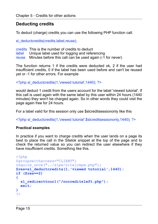# <span id="page-14-0"></span>**Deducting credits**

To deduct (charge) credits you can use the following PHP function call.

sl\_deductcredits(credits,label,reuse);

credits This is the number of credits to deduct

- label Unique label used for logging and referencing
- reuse Minutes before this call can be used again (-1 for never)

The function returns 1 if the credits were deducted ok, 2 if the user had insufficient credits, 0 if the label has been used before and can't be reused yet or -1 for other errors. For example

<?php sl\_deductcredits(1,'viewed tutorial',1440); ?>

would deduct 1 credit from the users account for the label 'viewed tutorial'. If this call is used again with the same label by this user within 24 hours (1440 minutes) they won't be charged again. So in other words they could visit the page again free for 24 hours.

For a label valid for this session only use \$slcreditsessiononly like this

<?php sl\_deductcredits(1,'viewed tutorial'.\$slcreditsessiononly,1440); ?>

#### **Practical examples**

In practice if you want to charge credits when the user lands on a page its best to place the call in the Sitelok snippet at the top of the page and to check the returned value so you can redirect the user elsewhere if they have insufficient credits. Something like this.

```
<?php 
$groupswithaccess="CLIENT"; 
require once("../slpw/sitelokpw.php");
$res=sl_deductcredits(1,'viewed tutorial',1440); 
if ($res==2) 
{ 
   sl_redirecttourl("/nocreditsleft.php"); 
   exit; 
} 
?>
```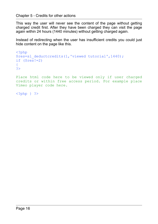This way the user will never see the content of the page without getting charged credit first. After they have been charged they can visit the page again within 24 hours (1440 minutes) without getting charged again.

Instead of redirecting when the user has insufficient credits you could just hide content on the page like this.

```
<?php 
$res=sl_deductcredits(1,'viewed tutorial',1440); 
if (Sres!=2){ 
?>
```
Place html code here to be viewed only if user charged credits or within free access period. For example place Vimeo player code here.

```
<?php } ?>
```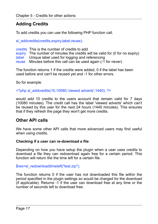# <span id="page-16-0"></span>**Adding Credits**

To add credits you can use the following PHP function call.

sl\_addcredits(credits,expiry,label,reuse);

credits This is the number of credits to add

expiry The number of minutes the credits will be valid for (0 for no expiry)

label Unique label used for logging and referencing

reuse Minutes before this call can be used again (-1 for never)

The function returns 1 if the credits were added, 0 if the label has been used before and can't be reused yet and -1 for other errors.

So for example

 $\le$ ?php sl\_addcredits(10,10080,'viewed adverts',1440); ?>

would add 10 credits to the users account that remain valid for 7 days (10080 minutes). The credit call has the label 'viewed adverts' which can't be reused by this user for the next 24 hours (1440 minutes). This ensures that if they refresh the page they won't get more credits.

# <span id="page-16-1"></span>**Other API calls**

We have some other API calls that more advanced users may find useful when using credits.

#### **Checking if a user can re-download a file**

Depending on how you have setup the plugin when a user uses credits to download a file they can redownload again free for a certain period. This function will return the the time left for a certain file.

\$res=sl\_redownloadtimeleft("test.zip");

The function returns 0 if the user has not downloaded this file within the period specified in the plugin settings so would be charged for the download (if applicable). Returns -1 if the user can download free at any time or the number of seconds left to download free.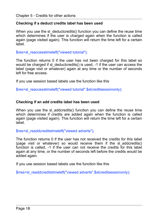#### **Checking if a deduct credits label has been used**

When you use the sl\_deductcredits() function you can define the reuse time which determines if the user is charged again when the function is called again (page visited again). This function will return the time left for a certain label.

\$res=sl\_reaccesstimeleft("viewed tutorial");

The function returns 0 if the user has not been charged for this label so would be charged if sl\_deductcredits() is used, -1 if the user can access the label (page visit or whatever) again at any time or the number of seconds left for free access.

If you use session based labels use the function like this

\$res=sl\_reaccesstimeleft("viewed tutorial".\$slcreditsessiononly);

#### **Checking if an add credits label has been used**

When you use the sl\_addcredits() function you can define the reuse time which determines if credits are added again when the function is called again (page visited again). This function will return the time left for a certain label.

\$res=sl\_readdcreditstimeleft("viewed adverts");

The function returns 0 if the user has not received the credits for this label (page visit or whatever) so would receive them if the sl\_addcredits() function is called, -1 if the user can not receive the credits for this label again at any time, or the number of seconds left before the credits would be added again.

If you use session based labels use the function like this

\$rres=sl\_readdcreditstimeleft("viewed adverts".\$slcreditsessiononly);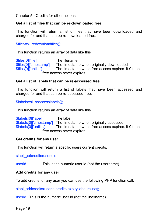#### **Get a list of files that can be re-downloaded free**

This function will return a list of files that have been downloaded and charged for and that can be re-downloaded free.

\$files=sl\_redownloadfiles();

This function returns an array of data like this

\$files[0]['file'] The filename \$files[0]['timestamp'] The timestamp when originally downloaded \$files[0]['untilts'] The timestamp when free access expires. If 0 then free access never expires.

#### **Get a list of labels that can be re-accessed free**

This function will return a list of labels that have been accessed and charged for and that can be re-accessed free.

\$labels=sl\_reaccesslabels();

This function returns an array of data like this

\$labels[0]['label'] The label \$labels[0]['timestamp'] The timestamp when originally accessed \$labels[0]['untilts'] The timestamp when free access expires The timestamp when free access expires. If 0 then free access never expires.

#### **Get credits for any user**

This function will return a specific users current credits.

slapi\_getcredits(userid);

userid This is the numeric user id (not the username)

#### **Add credits for any user**

To add credits for any user you can use the following PHP function call.

slapi\_addcredits(userid,credits,expiry,label,reuse);

userid This is the numeric user id (not the username)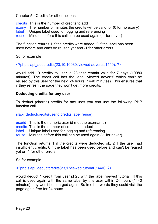credits This is the number of credits to add expiry The number of minutes the credits will be valid for (0 for no expiry) label Unique label used for logging and referencing Unique label used for logging and referencing reuse Minutes before this call can be used again (-1 for never)

The function returns 1 if the credits were added, 0 if the label has been used before and can't be reused yet and -1 for other errors.

So for example

 $\leq$ ?php slapi\_addcredits(23,10,10080,'viewed adverts',1440); ?>

would add 10 credits to user id 23 that remain valid for 7 days (10080 minutes). The credit call has the label 'viewed adverts' which can't be reused by this user for the next 24 hours (1440 minutes). This ensures that if they refresh the page they won't get more credits.

#### **Deducting credits for any user**

To deduct (charge) credits for any user you can use the following PHP function call.

slapi\_deductcredits(userid,credits,label,reuse);

- userid This is the numeric user id (not the username)
- credits This is the number of credits to deduct
- label Unique label used for logging and referencing
- reuse Minutes before this call can be used again (-1 for never)

The function returns 1 if the credits were deducted ok, 2 if the user had insufficient credits, 0 if the label has been used before and can't be reused yet or -1 for other errors.

So for example

<?php slapi\_deductcredits(23,1,'viewed tutorial',1440); ?>

would deduct 1 credit from user id 23 with the label 'viewed tutorial'. If this call is used again with the same label by this user within 24 hours (1440 minutes) they won't be charged again. So in other words they could visit the page again free for 24 hours.